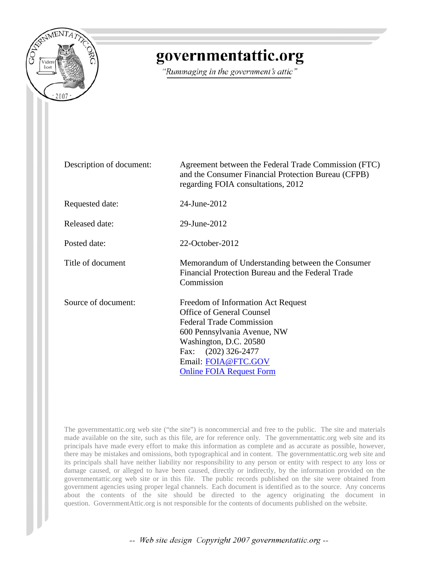

# governmentattic.org

"Rummaging in the government's attic"

| Description of document: | Agreement between the Federal Trade Commission (FTC)<br>and the Consumer Financial Protection Bureau (CFPB)<br>regarding FOIA consultations, 2012                                                                                                   |
|--------------------------|-----------------------------------------------------------------------------------------------------------------------------------------------------------------------------------------------------------------------------------------------------|
| Requested date:          | 24-June-2012                                                                                                                                                                                                                                        |
| Released date:           | 29-June-2012                                                                                                                                                                                                                                        |
| Posted date:             | 22-October-2012                                                                                                                                                                                                                                     |
| Title of document        | Memorandum of Understanding between the Consumer<br>Financial Protection Bureau and the Federal Trade<br>Commission                                                                                                                                 |
| Source of document:      | Freedom of Information Act Request<br><b>Office of General Counsel</b><br><b>Federal Trade Commission</b><br>600 Pennsylvania Avenue, NW<br>Washington, D.C. 20580<br>Fax: (202) 326-2477<br>Email: FOIA@FTC.GOV<br><b>Online FOIA Request Form</b> |

The governmentattic.org web site ("the site") is noncommercial and free to the public. The site and materials made available on the site, such as this file, are for reference only. The governmentattic.org web site and its principals have made every effort to make this information as complete and as accurate as possible, however, there may be mistakes and omissions, both typographical and in content. The governmentattic.org web site and its principals shall have neither liability nor responsibility to any person or entity with respect to any loss or damage caused, or alleged to have been caused, directly or indirectly, by the information provided on the governmentattic.org web site or in this file. The public records published on the site were obtained from government agencies using proper legal channels. Each document is identified as to the source. Any concerns about the contents of the site should be directed to the agency originating the document in question. GovernmentAttic.org is not responsible for the contents of documents published on the website.

-- Web site design Copyright 2007 governmentattic.org --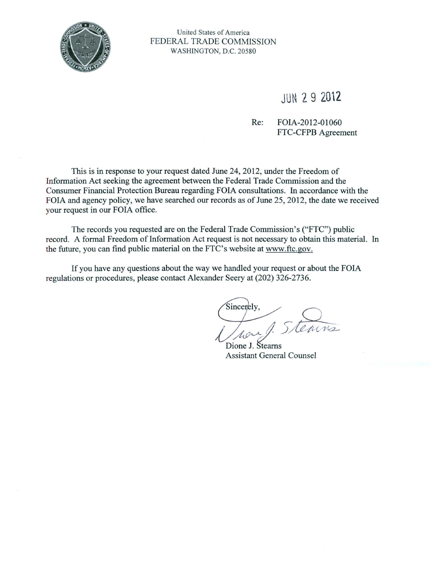

United States of America FEDERAL TRADE COMMISSION WASHINGTON, D.C. 20580

## JUN 2 9 **2012**

### Re: FOIA-2012-01060 FTC-CFPB Agreement

This is in response to your request dated June 24, 2012, under the Freedom of Information Act seeking the agreement between the Federal Trade Commission and the Consumer Financial Protection Bureau regarding FOIA consultations. In accordance with the FOIA and agency policy, we have searched our records as of June 25, 2012, the date we received your request in our FOIA office.

The records you requested are on the Federal Trade Commission's ("FTC") public record. A formal Freedom of Information Act request is not necessary to obtain this material. In the future, you can find public material on the FTC's website at www.ftc.gov.

If you have any questions about the way we handled your request or about the FOIA regulations or procedures, please contact Alexander Seery at (202) 326-2736.

Sincerely. houf Steams

Dione J. Stearns Assistant General Counsel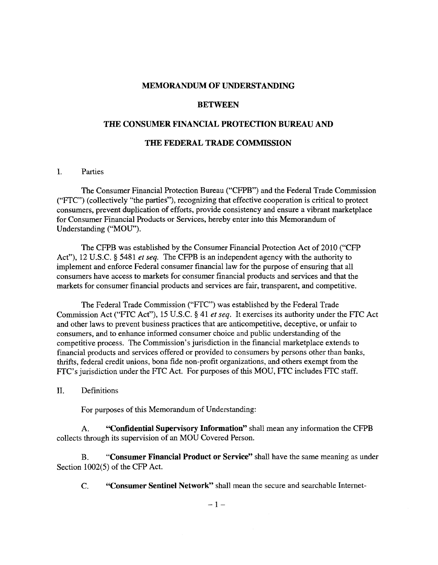#### **MEMORANDUM OF UNDERSTANDING**

#### **BETWEEN**

#### **THE CONSUMER FINANCIAL PROTECTION BUREAU AND**

#### **THE FEDERAL TRADE COMMISSION**

#### I. Parties

The Consumer Financial Protection Bureau ("CFPB") and the Federal Trade Commission ("FTC") (collectively "the parties"), recognizing that effective cooperation is critical to protect consumers, prevent duplication of efforts, provide consistency and ensure a vibrant marketplace for Consumer Financial Products or Services, hereby enter into this Memorandum of Understanding ("MOU").

The CFPB was established by the Consumer Financial Protection Act of 2010 ("CFP Act"), 12 U.S.C. § 5481 *et seq.* The CFPB is an independent agency with the authority to implement and enforce Federal consumer financial law for the purpose of ensuring that all consumers have access to markets for consumer financial products and services and that the markets for consumer financial products and services are fair, transparent, and competitive.

The Federal Trade Commission ("FTC") was established by the Federal Trade Commission Act ("FTC Act"), 15 U.S.C. § 41 *et seq.* It exercises its authority under the FTC Act and other laws to prevent business practices that are anticompetitive, deceptive, or unfair to consumers, and to enhance informed consumer choice and public understanding of the competitive process. The Commission's jurisdiction in the financial marketplace extends to financial products and services offered or provided to consumers by persons other than banks, thrifts, federal credit unions, bona fide non-profit organizations, and others exempt from the FTC's jurisdiction under the FTC Act. For purposes of this MOU, FTC includes FTC staff.

II. Definitions

For purposes of this Memorandum of Understanding:

A. **"Confidential Supervisory Information"** shall mean any information the CFPB collects through its supervision of an MOU Covered Person.

B. **"Consumer Financial Product or Service"** shall have the same meaning as under Section 1002(5) of the CFP Act.

C. **"Consumer Sentinel Network"** shall mean the secure and searchable Internet-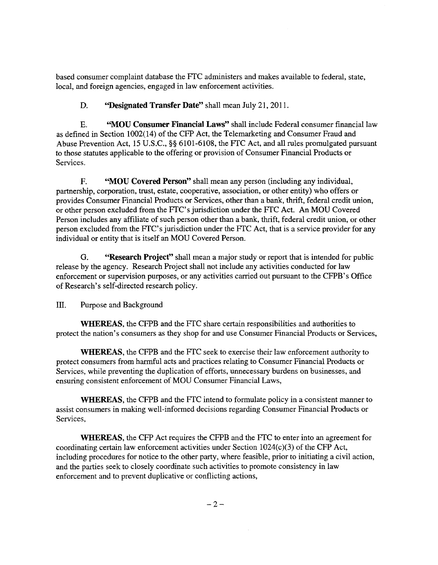based consumer complaint database the FTC administers and makes available to federal, state, local, and foreign agencies, engaged in law enforcement activities.

**D. ''Designated Transfer Date"** shall mean July 21, 2011.

E. **"MOU Consumer Financial Laws"** shall include Federal consumer financial law as defined in Section 1002(14) of the CFP Act, the Telemarketing and Consumer Fraud and Abuse Prevention Act, 15 U.S.C., §§ 6101-6108, the FTC Act, and all rules promulgated pursuant to those statutes applicable to the offering or provision of Consumer Financial Products or Services.

F. **"MOU Covered Person"** shall mean any person (including any individual, partnership, corporation, trust, estate, cooperative, association, or other entity) who offers or provides Consumer Financial Products or Services, other than a bank, thrift, federal credit union, or other person excluded from the FTC's jurisdiction under the FTC Act. An MOU Covered Person includes any affiliate of such person other than a bank, thrift, federal credit union, or other person excluded from the FTC's jurisdiction under the FTC Act, that is a service provider for any individual or entity that is itself an MOU Covered Person.

G. **"Research Project"** shall mean a major study or report that is intended for public release by the agency. Research Project shall not include any activities conducted for law enforcement or supervision purposes, or any activities carried out pursuant to the CFPB's Office of Research's self-directed research policy.

III. Purpose and Background

**WHEREAS,** the CFPB and the FTC share certain responsibilities and authorities to protect the nation's consumers as they shop for and use Consumer Financial Products or Services,

**WHEREAS,** the CFPB and the FTC seek to exercise their law enforcement authority to protect consumers from harmful acts and practices relating to Consumer Financial Products or Services, while preventing the duplication of efforts, unnecessary burdens on businesses, and ensuring consistent enforcement of MOU Consumer Financial Laws,

**WHEREAS,** the CFPB and the FTC intend to formulate policy in a consistent manner to assist consumers in making well-informed decisions regarding Consumer Financial Products or Services,

**WHEREAS,** the CFP Act requires the CFPB and the FTC to enter into an agreement for coordinating certain law enforcement activities under Section  $1024(c)(3)$  of the CFP Act, including procedures for notice to the other party, where feasible, prior to initiating a civil action, and the parties seek to closely coordinate such activities to promote consistency in law enforcement and to prevent duplicative or conflicting actions,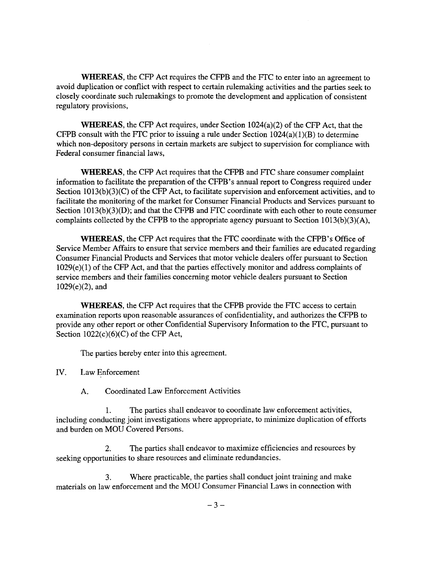**WHEREAS,** the CFP Act requires the CFPB and the FTC to enter into an agreement to avoid duplication or conflict with respect to certain rulemaking activities and the parties seek to closely coordinate such rulemakings to promote the development and application of consistent regulatory provisions,

**WHEREAS,** the CFP Act requires, under Section 1024(a)(2) of the CFP Act, that the CFPB consult with the FTC prior to issuing a rule under Section  $1024(a)(1)(B)$  to determine which non-depository persons in certain markets are subject to supervision for compliance with Federal consumer financial laws,

**WHEREAS,** the CFP Act requires that the CFPB and FTC share consumer complaint information to facilitate the preparation of the CFPB 's annual report to Congress required under Section  $1013(b)(3)(C)$  of the CFP Act, to facilitate supervision and enforcement activities, and to facilitate the monitoring of the market for Consumer Financial Products and Services pursuant to Section 1013(b)(3)(D); and that the CFPB and FTC coordinate with each other to route consumer complaints collected by the CFPB to the appropriate agency pursuant to Section 1013(b)(3)(A),

**WHEREAS,** the CFP Act requires that the FTC coordinate with the CFPB's Office of Service Member Affairs to ensure that service members and their families are educated regarding Consumer Financial Products and Services that motor vehicle dealers offer pursuant to Section  $1029(e)(1)$  of the CFP Act, and that the parties effectively monitor and address complaints of service members and their families concerning motor vehicle dealers pursuant to Section 1029(e)(2), and

**WHEREAS,** the CFP Act requires that the CFPB provide the FTC access to certain examination reports upon reasonable assurances of confidentiality, and authorizes the CFPB to provide any other report or other Confidential Supervisory Information to the FTC, pursuant to Section  $1022(c)(6)(C)$  of the CFP Act,

The parties hereby enter into this agreement.

IV. Law Enforcement

A. Coordinated Law Enforcement Activities

1. The parties shall endeavor to coordinate law enforcement activities, including conducting joint investigations where appropriate, to minimize duplication of efforts and burden on MOU Covered Persons.

2. The parties shall endeavor to maximize efficiencies and resources by seeking opportunities to share resources and eliminate redundancies.

3. Where practicable, the parties shall conduct joint training and make materials on law enforcement and the MOU Consumer Financial Laws in connection with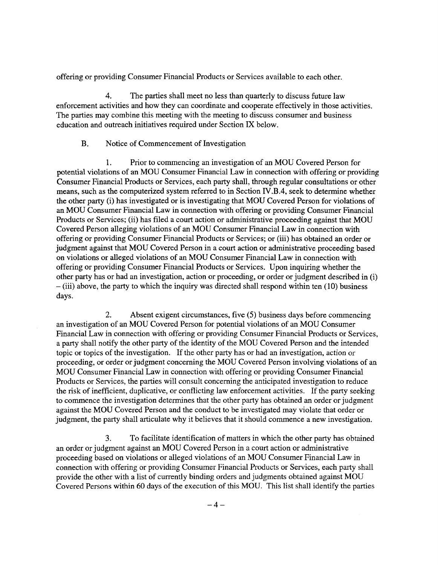offering or providing Consumer Financial Products or Services available to each other.

4. The parties shall meet no less than quarterly to discuss future law enforcement activities and how they can coordinate and cooperate effectively in those activities. The parties may combine this meeting with the meeting to discuss consumer and business education and outreach initiatives required under Section IX below.

#### B. Notice of Commencement of Investigation

1. Prior to commencing an investigation of an MOU Covered Person for potential violations of an MOU Consumer Financial Law in connection with offering or providing Consumer Financial Products or Services, each party shall, through regular consultations or other means, such as the computerized system referred to in Section IV.B.4, seek to determine whether the other party (i) has investigated or is investigating that MOU Covered Person for violations of an MOU Consumer Financial Law in connection with offering or providing Consumer Financial Products or Services; (ii) has filed a court action or administrative proceeding against that MOU Covered Person alleging violations of an MOU Consumer Financial Law in connection with offering or providing Consumer Financial Products or Services; or (iii) has obtained an order or judgment against that MOU Covered Person in a court action or administrative proceeding based on violations or alleged violations of an MOU Consumer Financial Law in connection with offering or providing Consumer Financial Products or Services. Upon inquiring whether the other party has or had an investigation, action or proceeding, or order or judgment described in (i) -(iii) above, the party to which the inquiry was directed shall respond within ten (10) business days.

2. Absent exigent circumstances, five (5) business days before commencing an investigation of an MOU Covered Person for potential violations of an MOU Consumer Financial Law in connection with offering or providing Consumer Financial Products or Services, a party shall notify the other party of the identity of the MOU Covered Person and the intended topic or topics of the investigation. If the other party has or had an investigation, action or proceeding, or order or judgment concerning the MOU Covered Person involving violations of an MOU Consumer Financial Law in connection with offering or providing Consumer Financial Products or Services, the parties will consult concerning the anticipated investigation to reduce the risk of inefficient, duplicative, or conflicting law enforcement activities. If the party seeking to commence the investigation determines that the other party has obtained an order or judgment against the MOU Covered Person and the conduct to be investigated may violate that order or judgment, the party shall articulate why it believes that it should commence a new investigation.

3. To facilitate identification of matters in which the other party has obtained an order or judgment against an MOU Covered Person in a court action or administrative proceeding based on violations or alleged violations of an MOU Consumer Financial Law in connection with offering or providing Consumer Financial Products or Services, each party shall provide the other with a list of currently binding orders and judgments obtained against MOU Covered Persons within 60 days of the execution of this MOU. This list shall identify the parties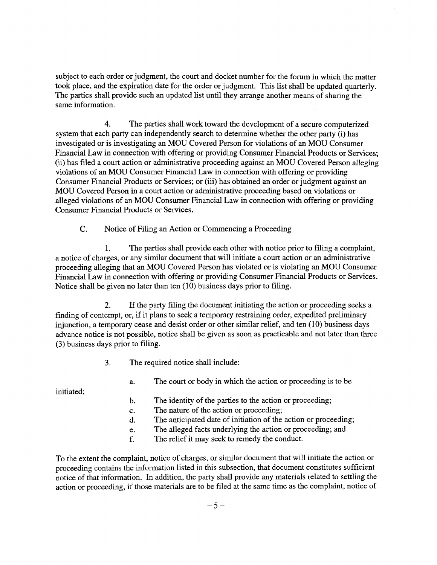subject to each order or judgment, the court and docket number for the forum in which the matter took place, and the expiration date for the order or judgment. This list shall be updated quarterly. The parties shall provide such an updated list until they arrange another means of sharing the same information.

4. The parties shall work toward the development of a secure computerized system that each party can independently search to determine whether the other party (i) has investigated or is investigating an MOU Covered Person for violations of an MOU Consumer Financial Law in connection with offering or providing Consumer Financial Products or Services; (ii) has filed a court action or administrative proceeding against an MOU Covered Person alleging violations of an MOU Consumer Financial Law in connection with offering or providing Consumer Financial Products or Services; or (iii) has obtained an order or judgment against an MOU Covered Person in a court action or administrative proceeding based on violations or alleged violations of an MOU Consumer Financial Law in connection with offering or providing Consumer Financial Products or Services.

C. Notice of Filing an Action or Commencing a Proceeding

1. The parties shall provide each other with notice prior to filing a complaint, a notice of charges, or any similar document that will initiate a court action or an administrative proceeding alleging that an MOU Covered Person has violated or is violating an MOU Consumer Financial Law in connection with offering or providing Consumer Financial Products or Services. Notice shall be given no later than ten (10) business days prior to filing.

2. If the party filing the document initiating the action or proceeding seeks a finding of contempt, or, if it plans to seek a temporary restraining order, expedited preliminary injunction, a temporary cease and desist order or other similar relief, and ten  $(10)$  business days advance notice is not possible, notice shall be given as soon as practicable and not later than three (3) business days prior to filing.

3. The required notice shall include:

initiated;

- a. The court or body in which the action or proceeding is to be
- b. The identity of the parties to the action or proceeding;
- c. The nature of the action or proceeding;
- d. The anticipated date of initiation of the action or proceeding;
- e. The alleged facts underlying the action or proceeding; and
- f. The relief it may seek to remedy the conduct.

To the extent the complaint, notice of charges, or similar document that will initiate the action or proceeding contains the information listed in this subsection, that document constitutes sufficient notice of that information. In addition, the party shall provide any materials related to settling the action or proceeding, if those materials are to be filed at the same time as the complaint, notice of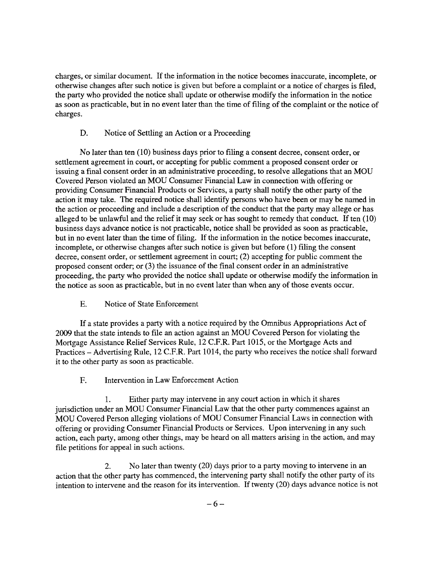charges, or similar document. If the information in the notice becomes inaccurate, incomplete, or otherwise changes after such notice is given but before a complaint or a notice of charges is filed, the party who provided the notice shall update or otherwise modify the information in the notice as soon as practicable, but in no event later than the time of filing of the complaint or the notice of charges.

## D. Notice of Settling an Action or a Proceeding

No later than ten (10) business days prior to filing a consent decree, consent order, or settlement agreement in court, or accepting for public comment a proposed consent order or issuing a final consent order in an administrative proceeding, to resolve allegations that an MOU Covered Person violated an MOU Consumer Financial Law in connection with offering or providing Consumer Financial Products or Services, a party shall notify the other party of the action it may take. The required notice shall identify persons who have been or may be named in the action or proceeding and include a description of the conduct that the party may allege or has alleged to be unlawful and the relief it may seek or has sought to remedy that conduct. If ten  $(10)$ business days advance notice is not practicable, notice shall be provided as soon as practicable, but in no event later than the time of filing. If the information in the notice becomes inaccurate, incomplete, or otherwise changes after such notice is given but before (1) filing the consent decree, consent order, or settlement agreement in court; (2) accepting for public comment the proposed consent order; or (3) the issuance of the final consent order in an administrative proceeding, the party who provided the notice shall update or otherwise modify the information in the notice as soon as practicable, but in no event later than when any of those events occur.

E. Notice of State Enforcement

If a state provides a party with a notice required by the Omnibus Appropriations Act of 2009 that the state intends to file an action against an MOU Covered Person for violating the Mortgage Assistance Relief Services Rule, 12 C.F.R. Part 1015, or the Mortgage Acts and Practices- Advertising Rule, 12 C.F.R. Part 1014, the party who receives the notice shall forward it to the other party as soon as practicable.

F. Intervention in Law Enforcement Action

1. Either party may intervene in any court action in which it shares jurisdiction under an MOU Consumer Financial Law that the other party commences against an MOU Covered Person alleging violations of MOU Consumer Financial Laws in connection with offering or providing Consumer Financial Products or Services. Upon intervening in any such action, each party, among other things, may be heard on all matters arising in the action, and may file petitions for appeal in such actions.

2. No later than twenty (20) days prior to a party moving to intervene in an action that the other party has commenced, the intervening party shall notify the other party of its intention to intervene and the reason for its intervention. If twenty (20) days advance notice is not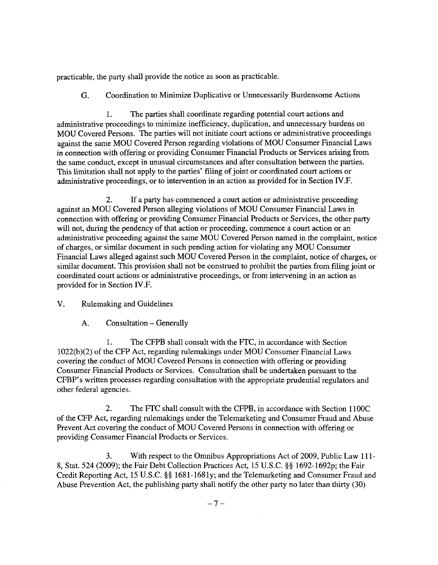practicable, the party shall provide the notice as soon as practicable.

G. Coordination to Minimize Duplicative or Unnecessarily Burdensome Actions

1. The parties shall coordinate regarding potential court actions and administrative proceedings to minimize inefficiency, duplication, and unnecessary burdens on MOU Covered Persons. The parties will not initiate court actions or administrative proceedings against the same MOU Covered Person regarding violations of MOU Consumer Financial Laws in connection with offering or providing Consumer Financial Products or Services arising from the same conduct, except in unusual circumstances and after consultation between the parties. This limitation shall not apply to the parties' filing of joint or coordinated court actions or administrative proceedings, or to intervention in an action as provided for in Section IV.F.

2. If a party has commenced a court action or administrative proceeding against an MOU Covered Person alleging violations of MOU Consumer Financial Laws in connection with offering or providing Consumer Financial Products or Services, the other party will not, during the pendency of that action or proceeding, commence a court action or an administrative proceeding against the same MOU Covered Person named in the complaint, notice of charges, or similar document in such pending action for violating any MOU Consumer Financial Laws alleged against such MOU Covered Person in the complaint, notice of charges, or similar document. This provision shall not be construed to prohibit the parties from filing joint or coordinated court actions or administrative proceedings, or from intervening in an action as provided for in Section IV.F.

V. Rulemaking and Guidelines

A. Consultation- Generally

1. The CFPB shall consult with the FTC, in accordance with Section 1022(b)(2) of the CFP Act, regarding rulemakings under MOU Consumer Financial Laws covering the conduct of MOU Covered Persons in connection with offering or providing Consumer Financial Products or Services. Consultation shall be undertaken pursuant to the CFBP' s written processes regarding consultation with the appropriate prudential regulators and other federal agencies.

2. The FTC shall consult with the CFPB, in accordance with Section 1100C of the CFP Act, regarding rulemakings under the Telemarketing and Consumer Fraud and Abuse Prevent Act covering the conduct of MOU Covered Persons in connection with offering or providing Consumer Financial Products or Services.

3. With respect to the Omnibus Appropriations Act of 2009, Public Law **111-** 8, Stat. 524 (2009); the Fair Debt Collection Practices Act, 15 U.S.C. §§ 1692-1692p; the Fair Credit Reporting Act, 15 U.S.C. §§ 1681-1681y; and the Telemarketing and Consumer Fraud and Abuse Prevention Act, the publishing party shall notify the other party no later than thirty (30)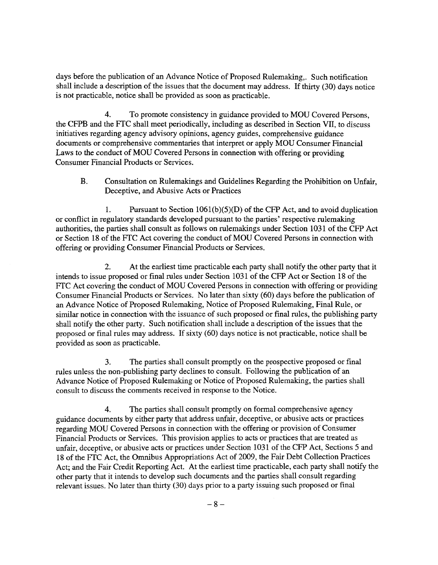days before the publication of an Advance Notice of Proposed Rulemaking,. Such notification shall include a description of the issues that the document may address. If thirty (30) days notice is not practicable, notice shall be provided as soon as practicable.

4. To promote consistency in guidance provided to MOU Covered Persons, the CFPB and the FTC shall meet periodically, including as described in Section VII, to discuss initiatives regarding agency advisory opinions, agency guides, comprehensive guidance documents or comprehensive commentaries that interpret or apply MOU Consumer Financial Laws to the conduct of MOU Covered Persons in connection with offering or providing Consumer Financial Products or Services.

B. Consultation on Rulemakings and Guidelines Regarding the Prohibition on Unfair, Deceptive, and Abusive Acts or Practices

1. Pursuant to Section  $1061(b)(5)(D)$  of the CFP Act, and to avoid duplication or conflict in regulatory standards developed pursuant to the parties' respective rulemaking authorities, the parties shall consult as follows on rulemakings under Section 1031 of the CFP Act or Section 18 of the FTC Act covering the conduct of MOU Covered Persons in connection with offering or providing Consumer Financial Products or Services.

2. At the earliest time practicable each party shall notify the other party that it intends to issue proposed or final rules under Section 1031 of the CFP Act or Section 18 of the FTC Act covering the conduct of MOU Covered Persons in connection with offering or providing Consumer Financial Products or Services. No later than sixty (60) days before the publication of an Advance Notice of Proposed Rulemaking, Notice of Proposed Rulemaking, Final Rule, or similar notice in connection with the issuance of such proposed or final rules, the publishing party shall notify the other party. Such notification shall include a description of the issues that the proposed or final rules may address. If sixty (60) days notice is not practicable, notice shall be provided as soon as practicable.

3. The parties shall consult promptly on the prospective proposed or final rules unless the non-publishing party declines to consult. Following the publication of an Advance Notice of Proposed Rulemaking or Notice of Proposed Rulemaking, the parties shall consult to discuss the comments received in response to the Notice.

4. The parties shall consult promptly on formal comprehensive agency guidance documents by either party that address unfair, deceptive, or abusive acts or practices regarding MOU Covered Persons in connection with the offering or provision of Consumer Financial Products or Services. This provision applies to acts or practices that are treated as unfair, deceptive, or abusive acts or practices under Section 1031 of the CFP Act, Sections 5 and 18 of the FTC Act, the Omnibus Appropriations Act of 2009, the Fair Debt Collection Practices Act; and the Fair Credit Reporting Act. At the earliest time practicable, each party shall notify the other party that it intends to develop such documents and the parties shall consult regarding relevant issues. No later than thirty (30) days prior to a party issuing such proposed or final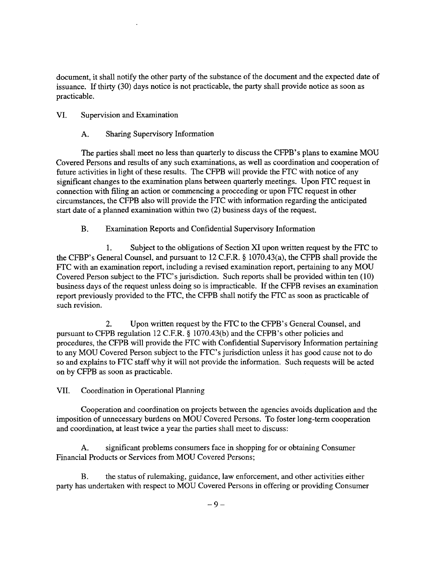document, it shall notify the other party of the substance of the document and the expected date of issuance. If thirty (30) days notice is not practicable, the party shall provide notice as soon as practicable.

## VI. Supervision and Examination

A. Sharing Supervisory Information

The parties shall meet no less than quarterly to discuss the CFPB's plans to examine MOU Covered Persons and results of any such examinations, as well as coordination and cooperation of future activities in light of these results. The CFPB will provide the FTC with notice of any significant changes to the examination plans between quarterly meetings. Upon FTC request in connection with filing an action or commencing a proceeding or upon FTC request in other circumstances, the CFPB also will provide the FTC with information regarding the anticipated start date of a planned examination within two (2) business days of the request.

B. Examination Reports and Confidential Supervisory Information

1. Subject to the obligations of Section XI upon written request by the FTC to the CFBP's General Counsel, and pursuant to 12 C.F.R. § 1070.43(a), the CFPB shall provide the FTC with an examination report, including a revised examination report, pertaining to any MOU Covered Person subject to the FTC's jurisdiction. Such reports shall be provided within ten (10) business days of the request unless doing so is impracticable. If the CFPB revises an examination report previously provided to the FTC, the CFPB shall notify the FTC as soon as practicable of such revision.

2. Upon written request by the FTC to the CFPB's General Counsel, and pursuant to CFPB regulation 12 C.F.R. § 1070.43(b) and the CFPB 's other policies and procedures, the CFPB will provide the FTC with Confidential Supervisory Information pertaining to any MOU Covered Person subject to the FTC's jurisdiction unless it has good cause not to do so and explains to FTC staff why it will not provide the information. Such requests will be acted on by CFPB as soon as practicable.

VII. Coordination in Operational Planning

Cooperation and coordination on projects between the agencies avoids duplication and the imposition of unnecessary burdens on MOU Covered Persons. To foster long-term cooperation and coordination, at least twice a year the parties shall meet to discuss:

A. significant problems consumers face in shopping for or obtaining Consumer Financial Products or Services from MOU Covered Persons;

B. the status of rulemaking, guidance, law enforcement, and other activities either party has undertaken with respect to MOU Covered Persons in offering or providing Consumer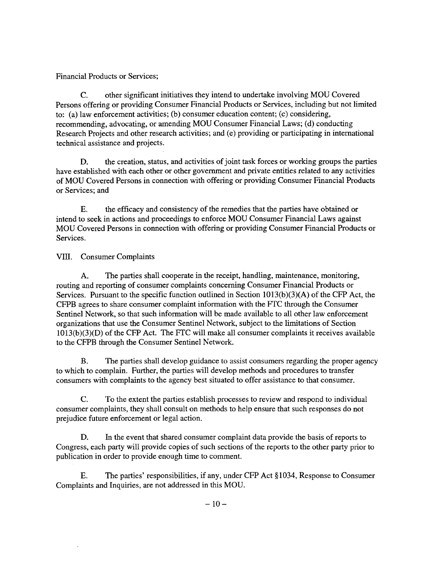## Financial Products or Services;

C. other significant initiatives they intend to undertake involving MOU Covered Persons offering or providing Consumer Financial Products or Services, including but not limited to: (a) law enforcement activities; (b) consumer education content; (c) considering, recommending, advocating, or amending MOU Consumer Financial Laws; (d) conducting Research Projects and other research activities; and (e) providing or participating in international technical assistance and projects.

D. the creation, status, and activities of joint task forces or working groups the parties have established with each other or other government and private entities related to any activities of MOU Covered Persons in connection with offering or providing Consumer Financial Products or Services; and

E. the efficacy and consistency of the remedies that the parties have obtained or intend to seek in actions and proceedings to enforce MOU Consumer Financial Laws against MOU Covered Persons in connection with offering or providing Consumer Financial Products or Services.

## VIII. Consumer Complaints

A. The parties shall cooperate in the receipt, handling, maintenance, monitoring, routing and reporting of consumer complaints concerning Consumer Financial Products or Services. Pursuant to the specific function outlined in Section 1013(b)(3)(A) of the CFP Act, the CFPB agrees to share consumer complaint information with the FfC through the Consumer Sentinel Network, so that such information will be made available to all other law enforcement organizations that use the Consumer Sentinel Network, subject to the limitations of Section  $1013(b)(3)(D)$  of the CFP Act. The FTC will make all consumer complaints it receives available to the CFPB through the Consumer Sentinel Network.

B. The parties shall develop guidance to assist consumers regarding the proper agency to which to complain. Further, the parties will develop methods and procedures to transfer consumers with complaints to the agency best situated to offer assistance to that consumer.

C. To the extent the parties establish processes to review and respond to individual consumer complaints, they shall consult on methods to help ensure that such responses do not prejudice future enforcement or legal action.

D. In the event that shared consumer complaint data provide the basis of reports to Congress, each party will provide copies of such sections of the reports to the other party prior to publication in order to provide enough time to comment.

E. The parties' responsibilities, if any, under CFP Act §1034, Response to Consumer Complaints and Inquiries, are not addressed in this MOU.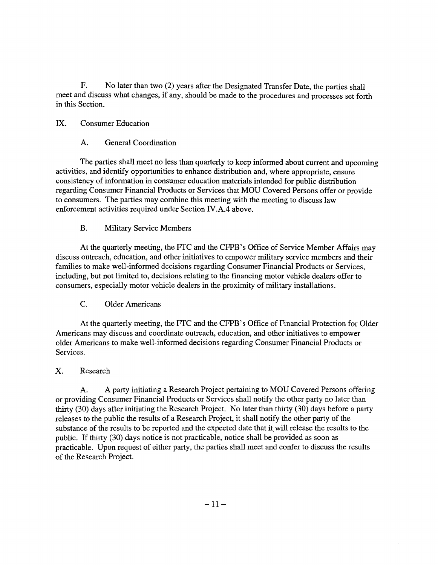F. No later than two (2) years after the Designated Transfer Date, the parties shall meet and discuss what changes, if any, should be made to the procedures and processes set forth in this Section.

#### IX. Consumer Education

#### A. General Coordination

The parties shall meet no less than quarterly to keep informed about current and upcoming activities, and identify opportunities to enhance distribution and, where appropriate, ensure consistency of information in consumer education materials intended for public distribution regarding Consumer Financial Products or Services that MOU Covered Persons offer or provide to consumers. The parties may combine this meeting with the meeting to discuss law enforcement activities required under Section IV.A.4 above.

### B. Military Service Members

At the quarterly meeting, the FTC and the CFPB' s Office of Service Member Affairs may discuss outreach, education, and other initiatives to empower military service members and their families to make well-informed decisions regarding Consumer Financial Products or Services, including, but not limited to, decisions relating to the financing motor vehicle dealers offer to consumers, especially motor vehicle dealers in the proximity of military installations.

C. Older Americans

At the quarterly meeting, the FTC and the CFPB' s Office of Financial Protection for Older Americans may discuss and coordinate outreach, education, and other initiatives to empower older Americans to make well-informed decisions regarding Consumer Financial Products or Services.

### X. Research

A. A party initiating a Research Project pertaining to MOU Covered Persons offering or providing Consumer Financial Products or Services shall notify the other party no later than thirty (30) days after initiating the Research Project. No later than thirty (30) days before a party releases to the public the results of a Research Project, it shall notify the other party of the substance of the results to be reported and the expected date that it will release the results to the public. If thirty (30) days notice is not practicable, notice shall be provided as soon as practicable. Upon request of either party, the parties shall meet and confer to discuss the results of the Research Project.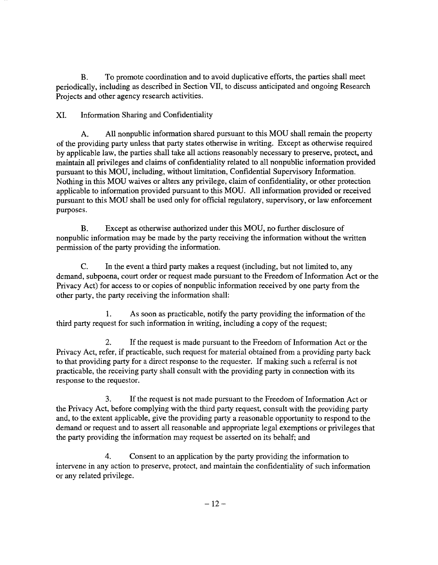B. To promote coordination and to avoid duplicative efforts, the parties shall meet periodically, including as described in Section Vll, to discuss anticipated and ongoing Research Projects and other agency research activities.

XI. Information Sharing and Confidentiality

A. All nonpublic information shared pursuant to this MOU shall remain the property of the providing party unless that party states otherwise in writing. Except as otherwise required by applicable law, the parties shall take all actions reasonably necessary to preserve, protect, and maintain all privileges and claims of confidentiality related to all nonpublic information provided pursuant to this MOU, including, without limitation, Confidential Supervisory Information. Nothing in this MOU waives or alters any privilege, claim of confidentiality, or other protection applicable to information provided pursuant to this MOU. All information provided or received pursuant to this MOU shall be used only for official regulatory, supervisory, or law enforcement purposes.

B. Except as otherwise authorized under this MOU, no further disclosure of nonpublic information may be made by the party receiving the information without the written permission of the party providing the information.

C. In the event a third party makes a request (including, but not limited to, any demand, subpoena, court order or request made pursuant to the Freedom of Information Act or the Privacy Act) for access to or copies of nonpublic information received by one party from the other party, the party receiving the information shall:

1. As soon as practicable, notify the party providing the information of the third party request for such information in writing, including a copy of the request;

2. If the request is made pursuant to the Freedom of Information Act or the Privacy Act, refer, if practicable, such request for material obtained from a providing party back to that providing party for a direct response to the requester. If making such a referral is not practicable, the receiving party shall consult with the providing party in connection with its response to the requestor.

3. If the request is not made pursuant to the Freedom of Information Act or the Privacy Act, before complying with the third party request, consult with the providing party and, to the extent applicable, give the providing party a reasonable opportunity to respond to the demand or request and to assert all reasonable and appropriate legal exemptions or privileges that the party providing the information may request be asserted on its behalf; and

4. Consent to an application by the party providing the information to intervene in any action to preserve, protect, and maintain the confidentiality of such information or any related privilege.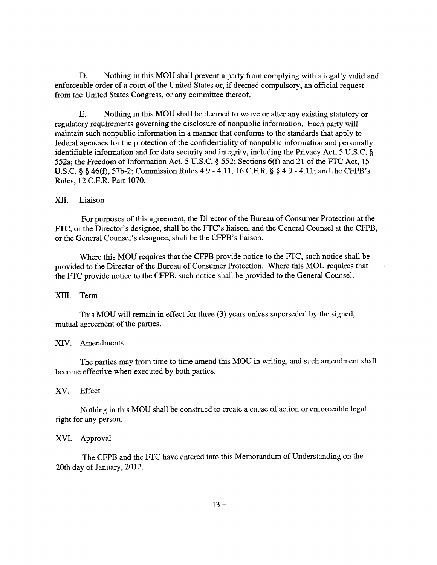D. Nothing in this MOU shall prevent a party from complying with a legally valid and enforceable order of a court of the United States or, if deemed compulsory, an official request from the United States Congress, or any committee thereof.

E. Nothing in this MOU shall be deemed to waive or alter any existing statutory or regulatory requirements governing the disclosure of nonpublic information. Each party will maintain such nonpublic information in a manner that conforms to the standards that apply to federal agencies for the protection of the confidentiality of nonpublic information and personally identifiable information and for data security and integrity, including the Privacy Act, 5 U.S.C. § 552a; the Freedom of Information Act, 5 U.S.C. § 552; Sections 6(f) and 21 of the FfC Act, 15 U.S.C. § § 46(f), 57b-2; Commission Rules 4.9- 4.11, 16 C.F.R. § § 4.9- 4.11; and the CFPB's Rules, 12 C.F.R. Part 1070.

#### XII. Liaison

For purposes of this agreement, the Director of the Bureau of Consumer Protection at the FTC, or the Director's designee, shall be the FTC's liaison, and the General Counsel at the CFPB, or the General Counsel's designee, shall be the CFPB's liaison.

Where this MOU requires that the CFPB provide notice to the FfC, such notice shall be provided to the Director of the Bureau of Consumer Protection. Where this MOU requires that the FfC provide notice to the CFPB, such notice shall be provided to the General Counsel.

### XIII. Term

This MOU will remain in effect for three (3) years unless superseded by the signed, mutual agreement of the parties.

### XIV. Amendments

The parties may from time to time amend this MOU in writing, and such amendment shall become effective when executed by both parties.

### XV. Effect

Nothing in this MOU shall be construed to create a cause of action or enforceable legal right for any person.

### XVI. Approval

The CFPB and the FfC have entered into this Memorandum of Understanding on the 20th day of January, 2012.